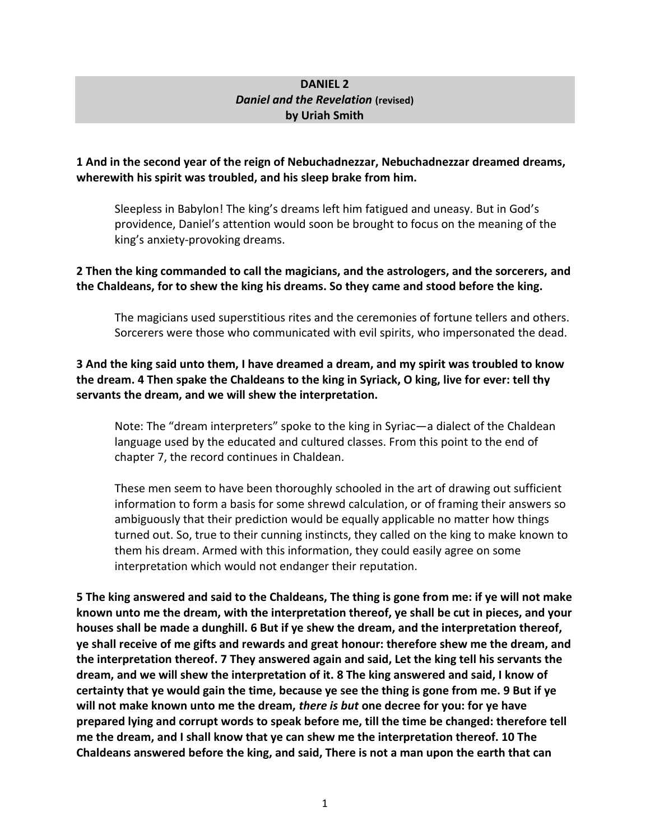### **DANIEL 2** *Daniel and the Revelation* **(revised) by Uriah Smith**

#### **1 And in the second year of the reign of Nebuchadnezzar, Nebuchadnezzar dreamed dreams, wherewith his spirit was troubled, and his sleep brake from him.**

Sleepless in Babylon! The king's dreams left him fatigued and uneasy. But in God's providence, Daniel's attention would soon be brought to focus on the meaning of the king's anxiety-provoking dreams.

### **2 Then the king commanded to call the magicians, and the astrologers, and the sorcerers, and the Chaldeans, for to shew the king his dreams. So they came and stood before the king.**

The magicians used superstitious rites and the ceremonies of fortune tellers and others. Sorcerers were those who communicated with evil spirits, who impersonated the dead.

### **3 And the king said unto them, I have dreamed a dream, and my spirit was troubled to know the dream. 4 Then spake the Chaldeans to the king in Syriack, O king, live for ever: tell thy servants the dream, and we will shew the interpretation.**

Note: The "dream interpreters" spoke to the king in Syriac—a dialect of the Chaldean language used by the educated and cultured classes. From this point to the end of chapter 7, the record continues in Chaldean.

These men seem to have been thoroughly schooled in the art of drawing out sufficient information to form a basis for some shrewd calculation, or of framing their answers so ambiguously that their prediction would be equally applicable no matter how things turned out. So, true to their cunning instincts, they called on the king to make known to them his dream. Armed with this information, they could easily agree on some interpretation which would not endanger their reputation.

**5 The king answered and said to the Chaldeans, The thing is gone from me: if ye will not make known unto me the dream, with the interpretation thereof, ye shall be cut in pieces, and your houses shall be made a dunghill. 6 But if ye shew the dream, and the interpretation thereof, ye shall receive of me gifts and rewards and great honour: therefore shew me the dream, and the interpretation thereof. 7 They answered again and said, Let the king tell his servants the dream, and we will shew the interpretation of it. 8 The king answered and said, I know of certainty that ye would gain the time, because ye see the thing is gone from me. 9 But if ye will not make known unto me the dream,** *there is but* **one decree for you: for ye have prepared lying and corrupt words to speak before me, till the time be changed: therefore tell me the dream, and I shall know that ye can shew me the interpretation thereof. 10 The Chaldeans answered before the king, and said, There is not a man upon the earth that can**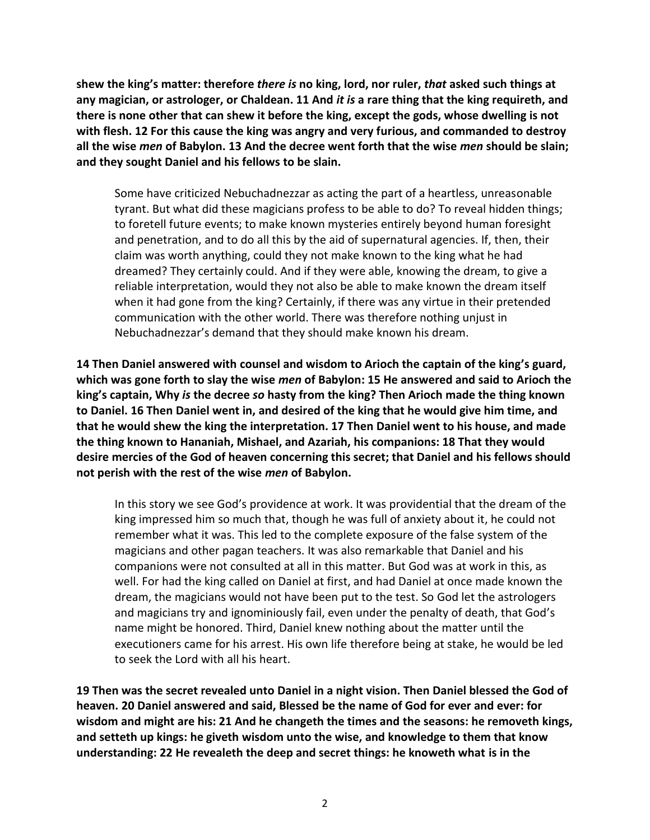**shew the king's matter: therefore** *there is* **no king, lord, nor ruler,** *that* **asked such things at any magician, or astrologer, or Chaldean. 11 And** *it is* **a rare thing that the king requireth, and there is none other that can shew it before the king, except the gods, whose dwelling is not with flesh. 12 For this cause the king was angry and very furious, and commanded to destroy all the wise** *men* **of Babylon. 13 And the decree went forth that the wise** *men* **should be slain; and they sought Daniel and his fellows to be slain.**

Some have criticized Nebuchadnezzar as acting the part of a heartless, unreasonable tyrant. But what did these magicians profess to be able to do? To reveal hidden things; to foretell future events; to make known mysteries entirely beyond human foresight and penetration, and to do all this by the aid of supernatural agencies. If, then, their claim was worth anything, could they not make known to the king what he had dreamed? They certainly could. And if they were able, knowing the dream, to give a reliable interpretation, would they not also be able to make known the dream itself when it had gone from the king? Certainly, if there was any virtue in their pretended communication with the other world. There was therefore nothing unjust in Nebuchadnezzar's demand that they should make known his dream.

**14 Then Daniel answered with counsel and wisdom to Arioch the captain of the king's guard, which was gone forth to slay the wise** *men* **of Babylon: 15 He answered and said to Arioch the king's captain, Why** *is* **the decree** *so* **hasty from the king? Then Arioch made the thing known to Daniel. 16 Then Daniel went in, and desired of the king that he would give him time, and that he would shew the king the interpretation. 17 Then Daniel went to his house, and made the thing known to Hananiah, Mishael, and Azariah, his companions: 18 That they would desire mercies of the God of heaven concerning this secret; that Daniel and his fellows should not perish with the rest of the wise** *men* **of Babylon.**

In this story we see God's providence at work. It was providential that the dream of the king impressed him so much that, though he was full of anxiety about it, he could not remember what it was. This led to the complete exposure of the false system of the magicians and other pagan teachers. It was also remarkable that Daniel and his companions were not consulted at all in this matter. But God was at work in this, as well. For had the king called on Daniel at first, and had Daniel at once made known the dream, the magicians would not have been put to the test. So God let the astrologers and magicians try and ignominiously fail, even under the penalty of death, that God's name might be honored. Third, Daniel knew nothing about the matter until the executioners came for his arrest. His own life therefore being at stake, he would be led to seek the Lord with all his heart.

**19 Then was the secret revealed unto Daniel in a night vision. Then Daniel blessed the God of heaven. 20 Daniel answered and said, Blessed be the name of God for ever and ever: for wisdom and might are his: 21 And he changeth the times and the seasons: he removeth kings, and setteth up kings: he giveth wisdom unto the wise, and knowledge to them that know understanding: 22 He revealeth the deep and secret things: he knoweth what is in the**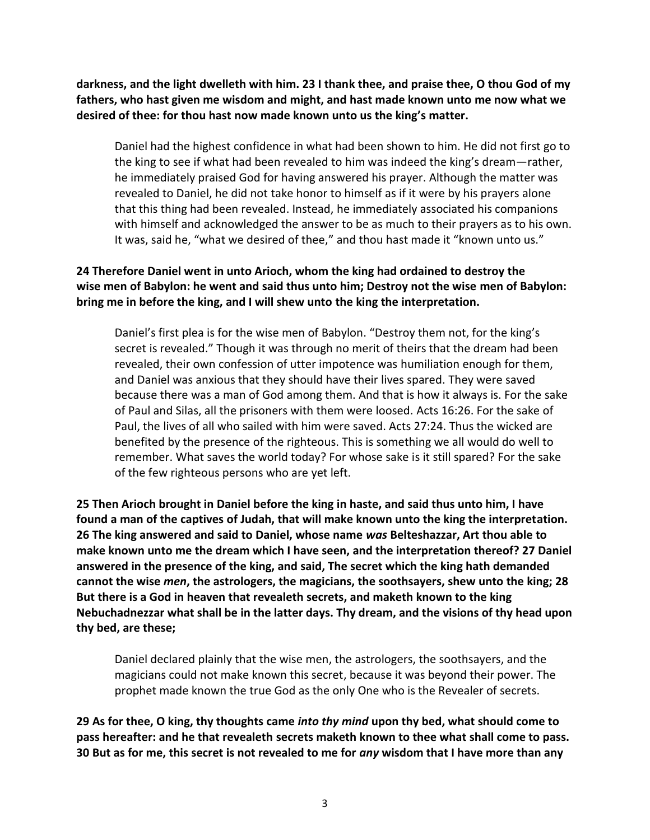**darkness, and the light dwelleth with him. 23 I thank thee, and praise thee, O thou God of my fathers, who hast given me wisdom and might, and hast made known unto me now what we desired of thee: for thou hast now made known unto us the king's matter.**

Daniel had the highest confidence in what had been shown to him. He did not first go to the king to see if what had been revealed to him was indeed the king's dream—rather, he immediately praised God for having answered his prayer. Although the matter was revealed to Daniel, he did not take honor to himself as if it were by his prayers alone that this thing had been revealed. Instead, he immediately associated his companions with himself and acknowledged the answer to be as much to their prayers as to his own. It was, said he, "what we desired of thee," and thou hast made it "known unto us."

# **24 Therefore Daniel went in unto Arioch, whom the king had ordained to destroy the wise men of Babylon: he went and said thus unto him; Destroy not the wise men of Babylon: bring me in before the king, and I will shew unto the king the interpretation.**

Daniel's first plea is for the wise men of Babylon. "Destroy them not, for the king's secret is revealed." Though it was through no merit of theirs that the dream had been revealed, their own confession of utter impotence was humiliation enough for them, and Daniel was anxious that they should have their lives spared. They were saved because there was a man of God among them. And that is how it always is. For the sake of Paul and Silas, all the prisoners with them were loosed. Acts 16:26. For the sake of Paul, the lives of all who sailed with him were saved. Acts 27:24. Thus the wicked are benefited by the presence of the righteous. This is something we all would do well to remember. What saves the world today? For whose sake is it still spared? For the sake of the few righteous persons who are yet left.

**25 Then Arioch brought in Daniel before the king in haste, and said thus unto him, I have found a man of the captives of Judah, that will make known unto the king the interpretation. 26 The king answered and said to Daniel, whose name** *was* **Belteshazzar, Art thou able to make known unto me the dream which I have seen, and the interpretation thereof? 27 Daniel answered in the presence of the king, and said, The secret which the king hath demanded cannot the wise** *men***, the astrologers, the magicians, the soothsayers, shew unto the king; 28 But there is a God in heaven that revealeth secrets, and maketh known to the king Nebuchadnezzar what shall be in the latter days. Thy dream, and the visions of thy head upon thy bed, are these;** 

Daniel declared plainly that the wise men, the astrologers, the soothsayers, and the magicians could not make known this secret, because it was beyond their power. The prophet made known the true God as the only One who is the Revealer of secrets.

**29 As for thee, O king, thy thoughts came** *into thy mind* **upon thy bed, what should come to pass hereafter: and he that revealeth secrets maketh known to thee what shall come to pass. 30 But as for me, this secret is not revealed to me for** *any* **wisdom that I have more than any**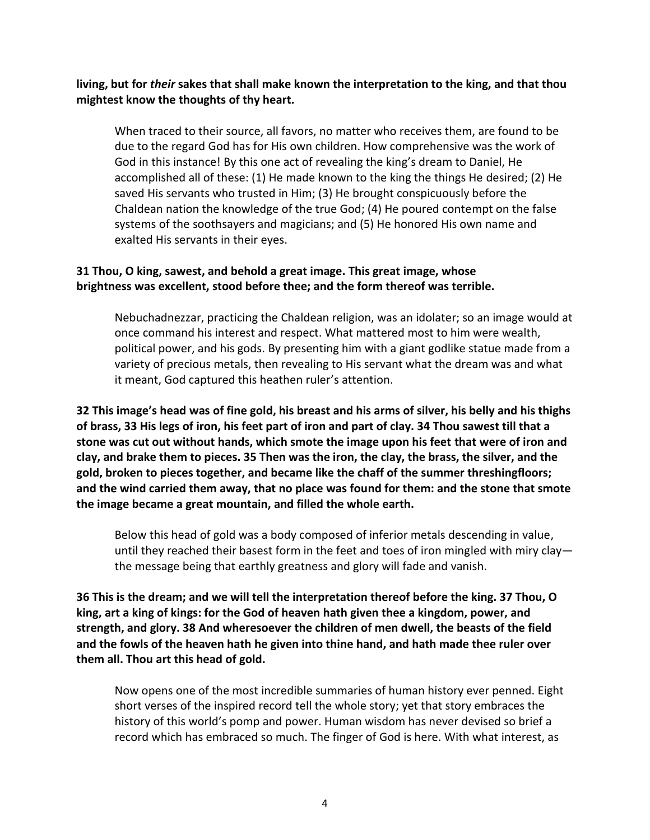**living, but for** *their* **sakes that shall make known the interpretation to the king, and that thou mightest know the thoughts of thy heart.**

When traced to their source, all favors, no matter who receives them, are found to be due to the regard God has for His own children. How comprehensive was the work of God in this instance! By this one act of revealing the king's dream to Daniel, He accomplished all of these: (1) He made known to the king the things He desired; (2) He saved His servants who trusted in Him; (3) He brought conspicuously before the Chaldean nation the knowledge of the true God; (4) He poured contempt on the false systems of the soothsayers and magicians; and (5) He honored His own name and exalted His servants in their eyes.

### **31 Thou, O king, sawest, and behold a great image. This great image, whose brightness was excellent, stood before thee; and the form thereof was terrible.**

Nebuchadnezzar, practicing the Chaldean religion, was an idolater; so an image would at once command his interest and respect. What mattered most to him were wealth, political power, and his gods. By presenting him with a giant godlike statue made from a variety of precious metals, then revealing to His servant what the dream was and what it meant, God captured this heathen ruler's attention.

**32 This image's head was of fine gold, his breast and his arms of silver, his belly and his thighs of brass, 33 His legs of iron, his feet part of iron and part of clay. 34 Thou sawest till that a stone was cut out without hands, which smote the image upon his feet that were of iron and clay, and brake them to pieces. 35 Then was the iron, the clay, the brass, the silver, and the gold, broken to pieces together, and became like the chaff of the summer threshingfloors; and the wind carried them away, that no place was found for them: and the stone that smote the image became a great mountain, and filled the whole earth.**

Below this head of gold was a body composed of inferior metals descending in value, until they reached their basest form in the feet and toes of iron mingled with miry clay the message being that earthly greatness and glory will fade and vanish.

**36 This is the dream; and we will tell the interpretation thereof before the king. 37 Thou, O king, art a king of kings: for the God of heaven hath given thee a kingdom, power, and strength, and glory. 38 And wheresoever the children of men dwell, the beasts of the field and the fowls of the heaven hath he given into thine hand, and hath made thee ruler over them all. Thou art this head of gold.**

Now opens one of the most incredible summaries of human history ever penned. Eight short verses of the inspired record tell the whole story; yet that story embraces the history of this world's pomp and power. Human wisdom has never devised so brief a record which has embraced so much. The finger of God is here. With what interest, as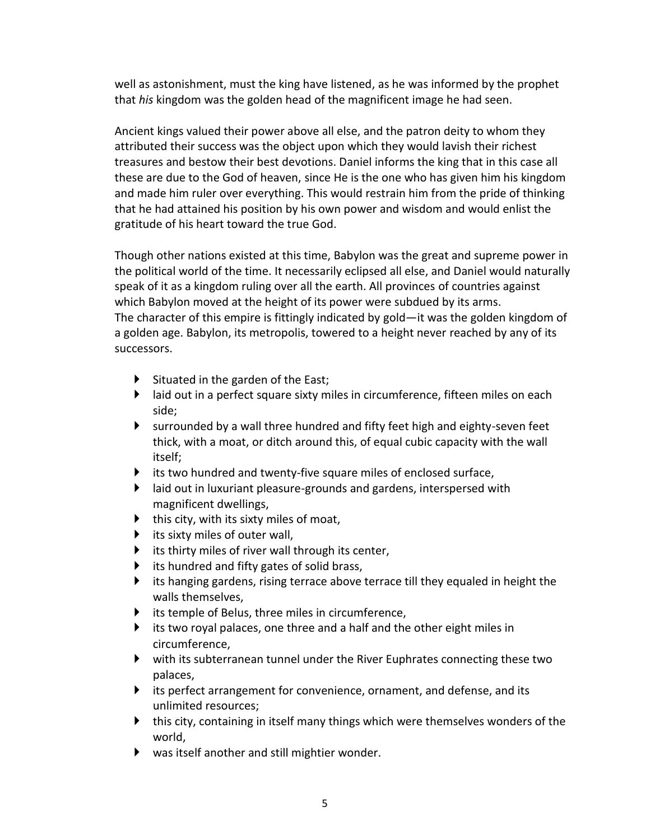well as astonishment, must the king have listened, as he was informed by the prophet that *his* kingdom was the golden head of the magnificent image he had seen.

Ancient kings valued their power above all else, and the patron deity to whom they attributed their success was the object upon which they would lavish their richest treasures and bestow their best devotions. Daniel informs the king that in this case all these are due to the God of heaven, since He is the one who has given him his kingdom and made him ruler over everything. This would restrain him from the pride of thinking that he had attained his position by his own power and wisdom and would enlist the gratitude of his heart toward the true God.

Though other nations existed at this time, Babylon was the great and supreme power in the political world of the time. It necessarily eclipsed all else, and Daniel would naturally speak of it as a kingdom ruling over all the earth. All provinces of countries against which Babylon moved at the height of its power were subdued by its arms. The character of this empire is fittingly indicated by gold—it was the golden kingdom of a golden age. Babylon, its metropolis, towered to a height never reached by any of its successors.

- $\triangleright$  Situated in the garden of the East;
- $\blacktriangleright$  laid out in a perfect square sixty miles in circumference, fifteen miles on each side;
- surrounded by a wall three hundred and fifty feet high and eighty-seven feet thick, with a moat, or ditch around this, of equal cubic capacity with the wall itself;
- $\blacktriangleright$  its two hundred and twenty-five square miles of enclosed surface,
- $\blacktriangleright$  laid out in luxuriant pleasure-grounds and gardens, interspersed with magnificent dwellings,
- $\blacktriangleright$  this city, with its sixty miles of moat,
- $\blacktriangleright$  its sixty miles of outer wall,
- $\blacktriangleright$  its thirty miles of river wall through its center,
- $\blacktriangleright$  its hundred and fifty gates of solid brass,
- $\blacktriangleright$  its hanging gardens, rising terrace above terrace till they equaled in height the walls themselves,
- tis temple of Belus, three miles in circumference,
- $\blacktriangleright$  its two royal palaces, one three and a half and the other eight miles in circumference,
- with its subterranean tunnel under the River Euphrates connecting these two palaces,
- $\blacktriangleright$  its perfect arrangement for convenience, ornament, and defense, and its unlimited resources;
- $\blacktriangleright$  this city, containing in itself many things which were themselves wonders of the world,
- was itself another and still mightier wonder.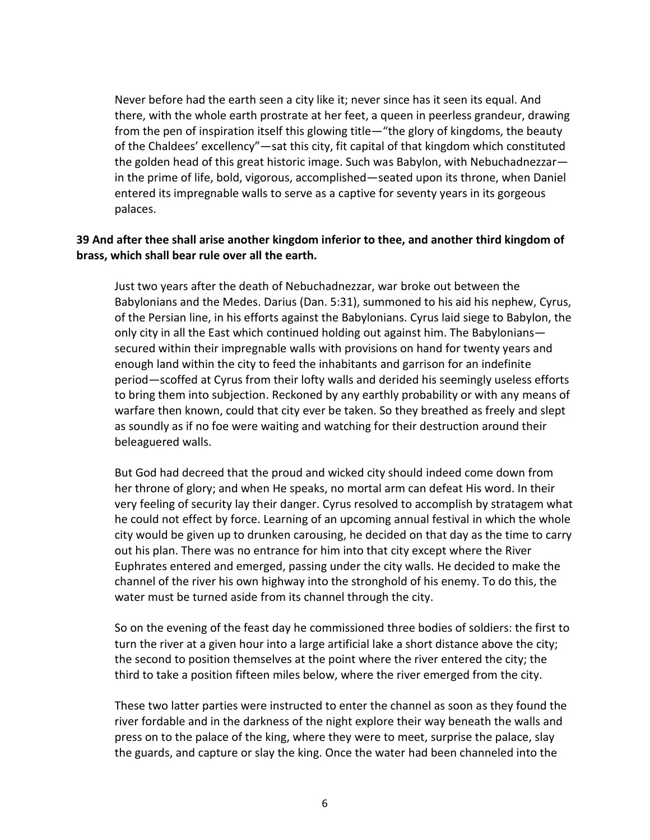Never before had the earth seen a city like it; never since has it seen its equal. And there, with the whole earth prostrate at her feet, a queen in peerless grandeur, drawing from the pen of inspiration itself this glowing title—"the glory of kingdoms, the beauty of the Chaldees' excellency"—sat this city, fit capital of that kingdom which constituted the golden head of this great historic image. Such was Babylon, with Nebuchadnezzar in the prime of life, bold, vigorous, accomplished—seated upon its throne, when Daniel entered its impregnable walls to serve as a captive for seventy years in its gorgeous palaces.

#### **39 And after thee shall arise another kingdom inferior to thee, and another third kingdom of brass, which shall bear rule over all the earth.**

Just two years after the death of Nebuchadnezzar, war broke out between the Babylonians and the Medes. Darius (Dan. 5:31), summoned to his aid his nephew, Cyrus, of the Persian line, in his efforts against the Babylonians. Cyrus laid siege to Babylon, the only city in all the East which continued holding out against him. The Babylonians secured within their impregnable walls with provisions on hand for twenty years and enough land within the city to feed the inhabitants and garrison for an indefinite period—scoffed at Cyrus from their lofty walls and derided his seemingly useless efforts to bring them into subjection. Reckoned by any earthly probability or with any means of warfare then known, could that city ever be taken. So they breathed as freely and slept as soundly as if no foe were waiting and watching for their destruction around their beleaguered walls.

But God had decreed that the proud and wicked city should indeed come down from her throne of glory; and when He speaks, no mortal arm can defeat His word. In their very feeling of security lay their danger. Cyrus resolved to accomplish by stratagem what he could not effect by force. Learning of an upcoming annual festival in which the whole city would be given up to drunken carousing, he decided on that day as the time to carry out his plan. There was no entrance for him into that city except where the River Euphrates entered and emerged, passing under the city walls. He decided to make the channel of the river his own highway into the stronghold of his enemy. To do this, the water must be turned aside from its channel through the city.

So on the evening of the feast day he commissioned three bodies of soldiers: the first to turn the river at a given hour into a large artificial lake a short distance above the city; the second to position themselves at the point where the river entered the city; the third to take a position fifteen miles below, where the river emerged from the city.

These two latter parties were instructed to enter the channel as soon as they found the river fordable and in the darkness of the night explore their way beneath the walls and press on to the palace of the king, where they were to meet, surprise the palace, slay the guards, and capture or slay the king. Once the water had been channeled into the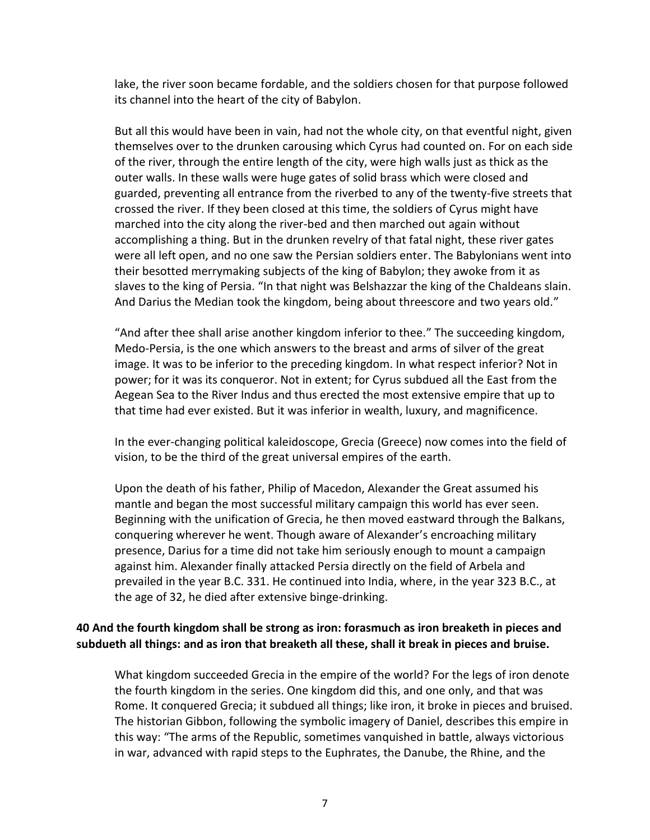lake, the river soon became fordable, and the soldiers chosen for that purpose followed its channel into the heart of the city of Babylon.

But all this would have been in vain, had not the whole city, on that eventful night, given themselves over to the drunken carousing which Cyrus had counted on. For on each side of the river, through the entire length of the city, were high walls just as thick as the outer walls. In these walls were huge gates of solid brass which were closed and guarded, preventing all entrance from the riverbed to any of the twenty-five streets that crossed the river. If they been closed at this time, the soldiers of Cyrus might have marched into the city along the river-bed and then marched out again without accomplishing a thing. But in the drunken revelry of that fatal night, these river gates were all left open, and no one saw the Persian soldiers enter. The Babylonians went into their besotted merrymaking subjects of the king of Babylon; they awoke from it as slaves to the king of Persia. "In that night was Belshazzar the king of the Chaldeans slain. And Darius the Median took the kingdom, being about threescore and two years old."

"And after thee shall arise another kingdom inferior to thee." The succeeding kingdom, Medo-Persia, is the one which answers to the breast and arms of silver of the great image. It was to be inferior to the preceding kingdom. In what respect inferior? Not in power; for it was its conqueror. Not in extent; for Cyrus subdued all the East from the Aegean Sea to the River Indus and thus erected the most extensive empire that up to that time had ever existed. But it was inferior in wealth, luxury, and magnificence.

In the ever-changing political kaleidoscope, Grecia (Greece) now comes into the field of vision, to be the third of the great universal empires of the earth.

Upon the death of his father, Philip of Macedon, Alexander the Great assumed his mantle and began the most successful military campaign this world has ever seen. Beginning with the unification of Grecia, he then moved eastward through the Balkans, conquering wherever he went. Though aware of Alexander's encroaching military presence, Darius for a time did not take him seriously enough to mount a campaign against him. Alexander finally attacked Persia directly on the field of Arbela and prevailed in the year B.C. 331. He continued into India, where, in the year 323 B.C., at the age of 32, he died after extensive binge-drinking.

### **40 And the fourth kingdom shall be strong as iron: forasmuch as iron breaketh in pieces and subdueth all things: and as iron that breaketh all these, shall it break in pieces and bruise.**

What kingdom succeeded Grecia in the empire of the world? For the legs of iron denote the fourth kingdom in the series. One kingdom did this, and one only, and that was Rome. It conquered Grecia; it subdued all things; like iron, it broke in pieces and bruised. The historian Gibbon, following the symbolic imagery of Daniel, describes this empire in this way: "The arms of the Republic, sometimes vanquished in battle, always victorious in war, advanced with rapid steps to the Euphrates, the Danube, the Rhine, and the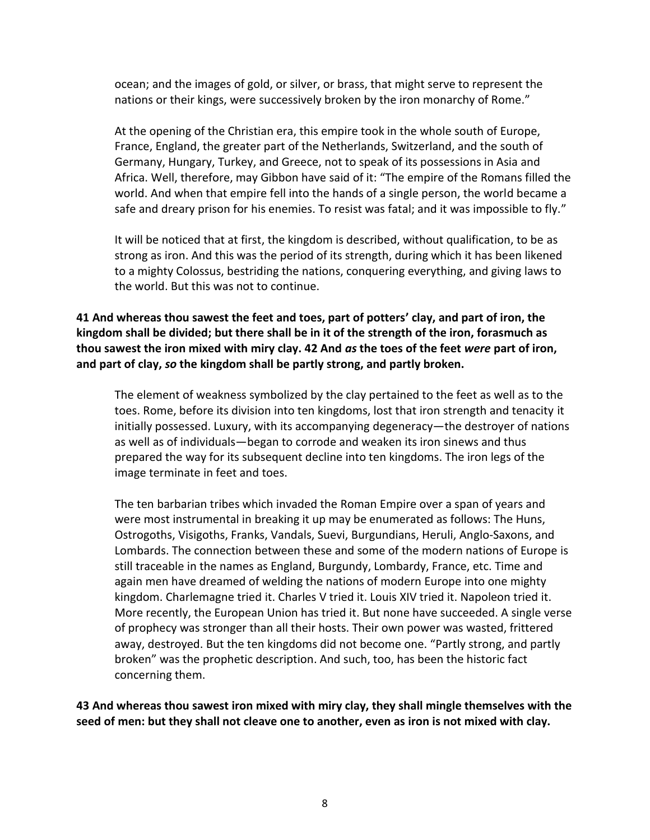ocean; and the images of gold, or silver, or brass, that might serve to represent the nations or their kings, were successively broken by the iron monarchy of Rome."

At the opening of the Christian era, this empire took in the whole south of Europe, France, England, the greater part of the Netherlands, Switzerland, and the south of Germany, Hungary, Turkey, and Greece, not to speak of its possessions in Asia and Africa. Well, therefore, may Gibbon have said of it: "The empire of the Romans filled the world. And when that empire fell into the hands of a single person, the world became a safe and dreary prison for his enemies. To resist was fatal; and it was impossible to fly."

It will be noticed that at first, the kingdom is described, without qualification, to be as strong as iron. And this was the period of its strength, during which it has been likened to a mighty Colossus, bestriding the nations, conquering everything, and giving laws to the world. But this was not to continue.

# **41 And whereas thou sawest the feet and toes, part of potters' clay, and part of iron, the kingdom shall be divided; but there shall be in it of the strength of the iron, forasmuch as thou sawest the iron mixed with miry clay. 42 And** *as* **the toes of the feet** *were* **part of iron, and part of clay,** *so* **the kingdom shall be partly strong, and partly broken.**

The element of weakness symbolized by the clay pertained to the feet as well as to the toes. Rome, before its division into ten kingdoms, lost that iron strength and tenacity it initially possessed. Luxury, with its accompanying degeneracy—the destroyer of nations as well as of individuals—began to corrode and weaken its iron sinews and thus prepared the way for its subsequent decline into ten kingdoms. The iron legs of the image terminate in feet and toes.

The ten barbarian tribes which invaded the Roman Empire over a span of years and were most instrumental in breaking it up may be enumerated as follows: The Huns, Ostrogoths, Visigoths, Franks, Vandals, Suevi, Burgundians, Heruli, Anglo-Saxons, and Lombards. The connection between these and some of the modern nations of Europe is still traceable in the names as England, Burgundy, Lombardy, France, etc. Time and again men have dreamed of welding the nations of modern Europe into one mighty kingdom. Charlemagne tried it. Charles V tried it. Louis XIV tried it. Napoleon tried it. More recently, the European Union has tried it. But none have succeeded. A single verse of prophecy was stronger than all their hosts. Their own power was wasted, frittered away, destroyed. But the ten kingdoms did not become one. "Partly strong, and partly broken" was the prophetic description. And such, too, has been the historic fact concerning them.

**43 And whereas thou sawest iron mixed with miry clay, they shall mingle themselves with the seed of men: but they shall not cleave one to another, even as iron is not mixed with clay.**